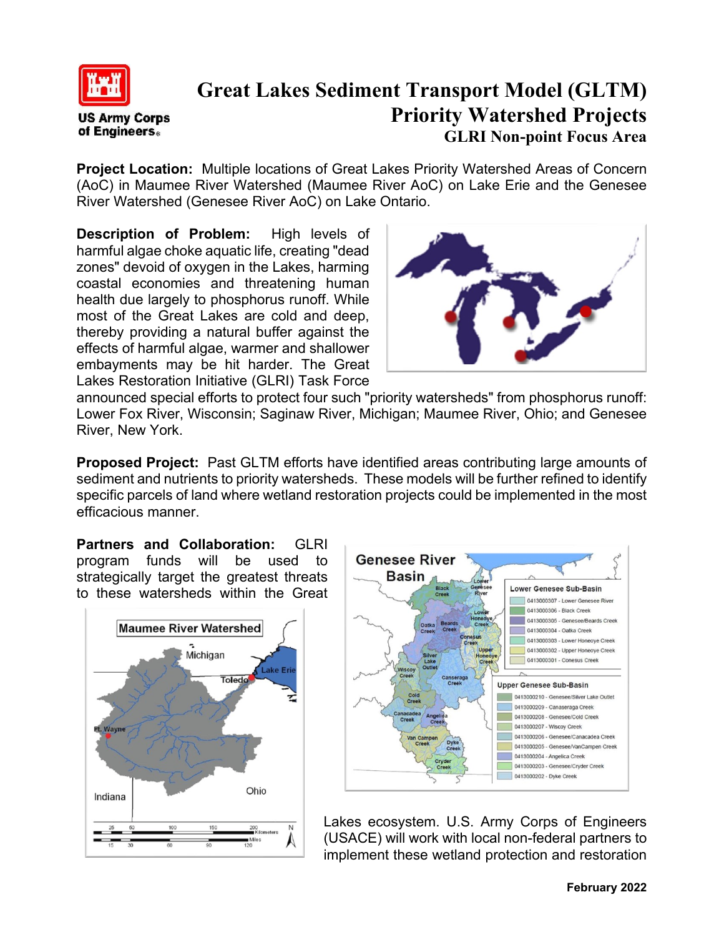

**US Army Corps** of Engineers.

 **Great Lakes Sediment Transport Model (GLTM) Priority Watershed Projects GLRI Non-point Focus Area**

**Project Location:** Multiple locations of Great Lakes Priority Watershed Areas of Concern (AoC) in Maumee River Watershed (Maumee River AoC) on Lake Erie and the Genesee River Watershed (Genesee River AoC) on Lake Ontario.

**Description of Problem:** High levels of harmful algae choke aquatic life, creating "dead zones" devoid of oxygen in the Lakes, harming coastal economies and threatening human health due largely to phosphorus runoff. While most of the Great Lakes are cold and deep, thereby providing a natural buffer against the effects of harmful algae, warmer and shallower embayments may be hit harder. The Great Lakes Restoration Initiative (GLRI) Task Force



announced special efforts to protect four such "priority watersheds" from phosphorus runoff: Lower Fox River, Wisconsin; Saginaw River, Michigan; Maumee River, Ohio; and Genesee River, New York.

**Proposed Project:** Past GLTM efforts have identified areas contributing large amounts of sediment and nutrients to priority watersheds. These models will be further refined to identify specific parcels of land where wetland restoration projects could be implemented in the most efficacious manner.

**Partners and Collaboration:** GLRI program funds will be used to strategically target the greatest threats to these watersheds within the Great





Lakes ecosystem. U.S. Army Corps of Engineers (USACE) will work with local non-federal partners to implement these wetland protection and restoration